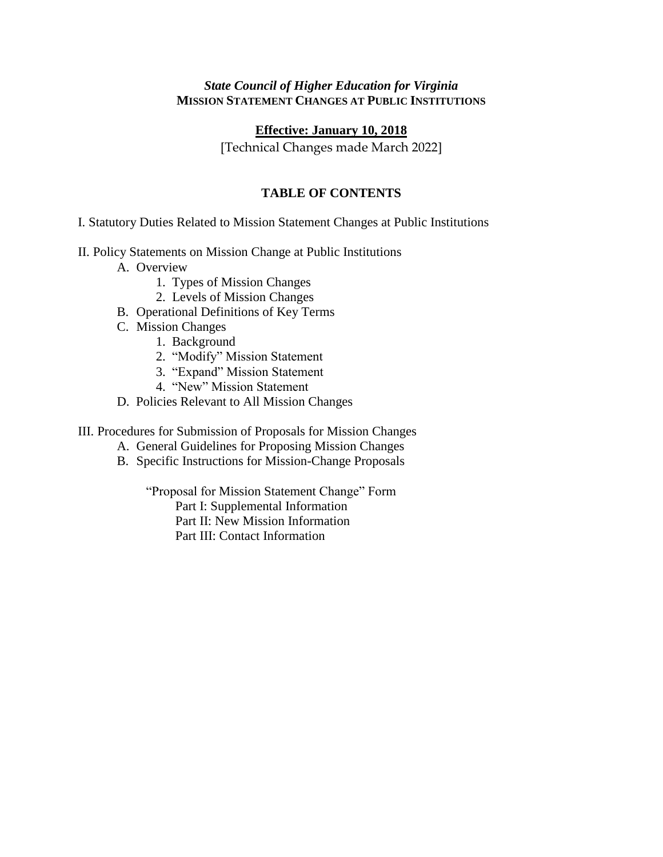#### *State Council of Higher Education for Virginia* **MISSION STATEMENT CHANGES AT PUBLIC INSTITUTIONS**

#### **Effective: January 10, 2018**

[Technical Changes made March 2022]

#### **TABLE OF CONTENTS**

I. Statutory Duties Related to Mission Statement Changes at Public Institutions

- II. Policy Statements on Mission Change at Public Institutions
	- A. Overview
		- 1. Types of Mission Changes
		- 2. Levels of Mission Changes
	- B. Operational Definitions of Key Terms
	- C. Mission Changes
		- 1. Background
		- 2. "Modify" Mission Statement
		- 3. "Expand" Mission Statement
		- 4. "New" Mission Statement
	- D. Policies Relevant to All Mission Changes

III. Procedures for Submission of Proposals for Mission Changes

- A. General Guidelines for Proposing Mission Changes
- B. Specific Instructions for Mission-Change Proposals

"Proposal for Mission Statement Change" Form

Part I: Supplemental Information

Part II: New Mission Information

Part III: Contact Information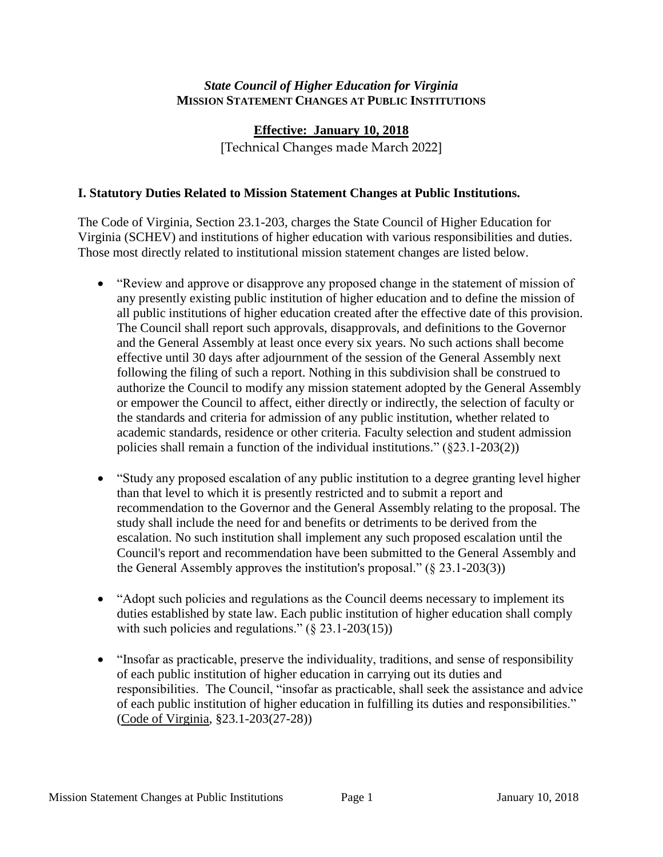#### *State Council of Higher Education for Virginia* **MISSION STATEMENT CHANGES AT PUBLIC INSTITUTIONS**

# **Effective: January 10, 2018** [Technical Changes made March 2022]

#### **I. Statutory Duties Related to Mission Statement Changes at Public Institutions.**

The Code of Virginia, Section 23.1-203, charges the State Council of Higher Education for Virginia (SCHEV) and institutions of higher education with various responsibilities and duties. Those most directly related to institutional mission statement changes are listed below.

- "Review and approve or disapprove any proposed change in the statement of mission of any presently existing public institution of higher education and to define the mission of all public institutions of higher education created after the effective date of this provision. The Council shall report such approvals, disapprovals, and definitions to the Governor and the General Assembly at least once every six years. No such actions shall become effective until 30 days after adjournment of the session of the General Assembly next following the filing of such a report. Nothing in this subdivision shall be construed to authorize the Council to modify any mission statement adopted by the General Assembly or empower the Council to affect, either directly or indirectly, the selection of faculty or the standards and criteria for admission of any public institution, whether related to academic standards, residence or other criteria. Faculty selection and student admission policies shall remain a function of the individual institutions." (§23.1-203(2))
- "Study any proposed escalation of any public institution to a degree granting level higher than that level to which it is presently restricted and to submit a report and recommendation to the Governor and the General Assembly relating to the proposal. The study shall include the need for and benefits or detriments to be derived from the escalation. No such institution shall implement any such proposed escalation until the Council's report and recommendation have been submitted to the General Assembly and the General Assembly approves the institution's proposal."  $(\S 23.1-203(3))$
- "Adopt such policies and regulations as the Council deems necessary to implement its duties established by state law. Each public institution of higher education shall comply with such policies and regulations." (§ 23.1-203(15))
- "Insofar as practicable, preserve the individuality, traditions, and sense of responsibility of each public institution of higher education in carrying out its duties and responsibilities. The Council, "insofar as practicable, shall seek the assistance and advice of each public institution of higher education in fulfilling its duties and responsibilities." (Code of Virginia, §23.1-203(27-28))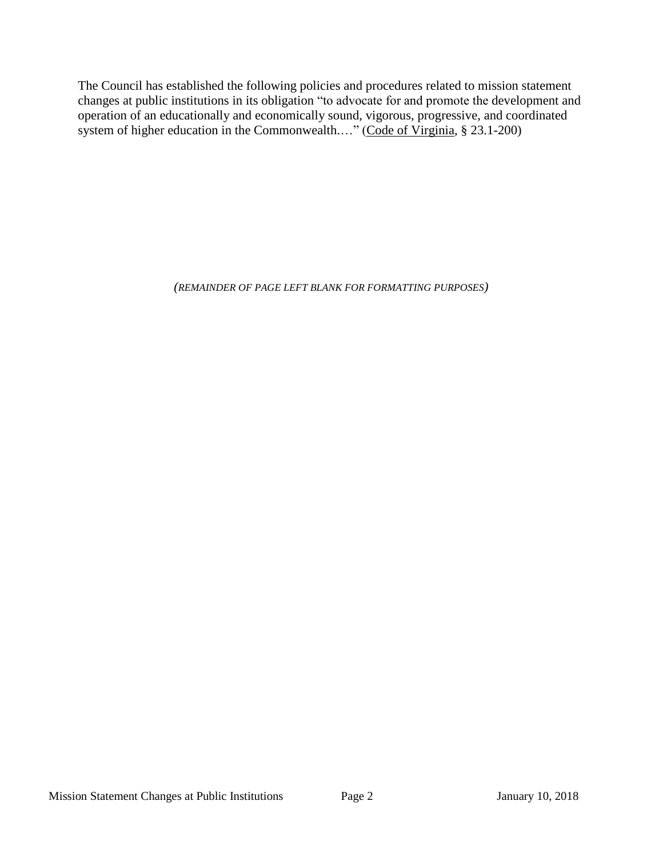The Council has established the following policies and procedures related to mission statement changes at public institutions in its obligation "to advocate for and promote the development and operation of an educationally and economically sound, vigorous, progressive, and coordinated system of higher education in the Commonwealth...." (Code of Virginia, § 23.1-200)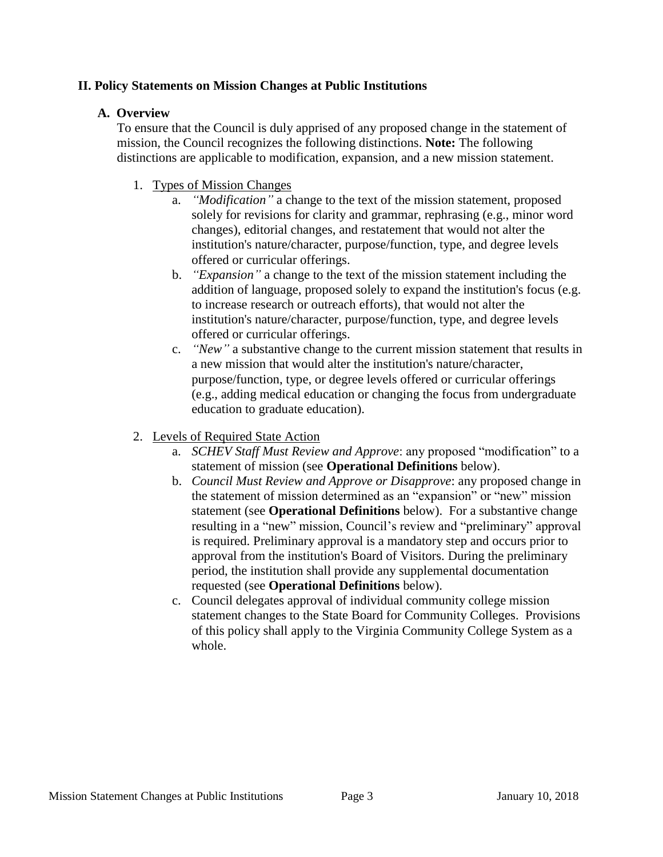#### **II. Policy Statements on Mission Changes at Public Institutions**

## **A. Overview**

To ensure that the Council is duly apprised of any proposed change in the statement of mission, the Council recognizes the following distinctions. **Note:** The following distinctions are applicable to modification, expansion, and a new mission statement.

- 1. Types of Mission Changes
	- a. *"Modification"* a change to the text of the mission statement, proposed solely for revisions for clarity and grammar, rephrasing (e.g., minor word changes), editorial changes, and restatement that would not alter the institution's nature/character, purpose/function, type, and degree levels offered or curricular offerings.
	- b. *"Expansion"* a change to the text of the mission statement including the addition of language, proposed solely to expand the institution's focus (e.g. to increase research or outreach efforts), that would not alter the institution's nature/character, purpose/function, type, and degree levels offered or curricular offerings.
	- c. *"New"* a substantive change to the current mission statement that results in a new mission that would alter the institution's nature/character, purpose/function, type, or degree levels offered or curricular offerings (e.g., adding medical education or changing the focus from undergraduate education to graduate education).
- 2. Levels of Required State Action
	- a. *SCHEV Staff Must Review and Approve*: any proposed "modification" to a statement of mission (see **Operational Definitions** below).
	- b. *Council Must Review and Approve or Disapprove*: any proposed change in the statement of mission determined as an "expansion" or "new" mission statement (see **Operational Definitions** below). For a substantive change resulting in a "new" mission, Council's review and "preliminary" approval is required. Preliminary approval is a mandatory step and occurs prior to approval from the institution's Board of Visitors. During the preliminary period, the institution shall provide any supplemental documentation requested (see **Operational Definitions** below).
	- c. Council delegates approval of individual community college mission statement changes to the State Board for Community Colleges. Provisions of this policy shall apply to the Virginia Community College System as a whole.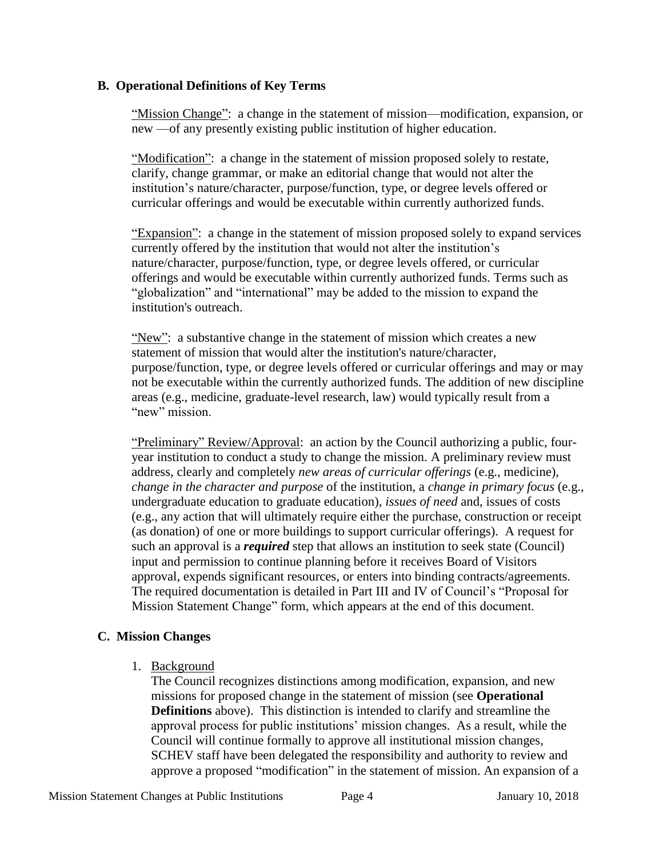#### **B. Operational Definitions of Key Terms**

"Mission Change": a change in the statement of mission—modification, expansion, or new —of any presently existing public institution of higher education.

"Modification": a change in the statement of mission proposed solely to restate, clarify, change grammar, or make an editorial change that would not alter the institution's nature/character, purpose/function, type, or degree levels offered or curricular offerings and would be executable within currently authorized funds.

"Expansion": a change in the statement of mission proposed solely to expand services currently offered by the institution that would not alter the institution's nature/character, purpose/function, type, or degree levels offered, or curricular offerings and would be executable within currently authorized funds. Terms such as "globalization" and "international" may be added to the mission to expand the institution's outreach.

"New": a substantive change in the statement of mission which creates a new statement of mission that would alter the institution's nature/character, purpose/function, type, or degree levels offered or curricular offerings and may or may not be executable within the currently authorized funds. The addition of new discipline areas (e.g., medicine, graduate-level research, law) would typically result from a "new" mission.

"Preliminary" Review/Approval: an action by the Council authorizing a public, fouryear institution to conduct a study to change the mission. A preliminary review must address, clearly and completely *new areas of curricular offerings* (e.g., medicine), *change in the character and purpose* of the institution, a *change in primary focus* (e.g., undergraduate education to graduate education), *issues of need* and, issues of costs (e.g., any action that will ultimately require either the purchase, construction or receipt (as donation) of one or more buildings to support curricular offerings). A request for such an approval is a *required* step that allows an institution to seek state (Council) input and permission to continue planning before it receives Board of Visitors approval, expends significant resources, or enters into binding contracts/agreements. The required documentation is detailed in Part III and IV of Council's "Proposal for Mission Statement Change" form, which appears at the end of this document.

## **C. Mission Changes**

1. Background

The Council recognizes distinctions among modification, expansion, and new missions for proposed change in the statement of mission (see **Operational Definitions** above). This distinction is intended to clarify and streamline the approval process for public institutions' mission changes. As a result, while the Council will continue formally to approve all institutional mission changes, SCHEV staff have been delegated the responsibility and authority to review and approve a proposed "modification" in the statement of mission. An expansion of a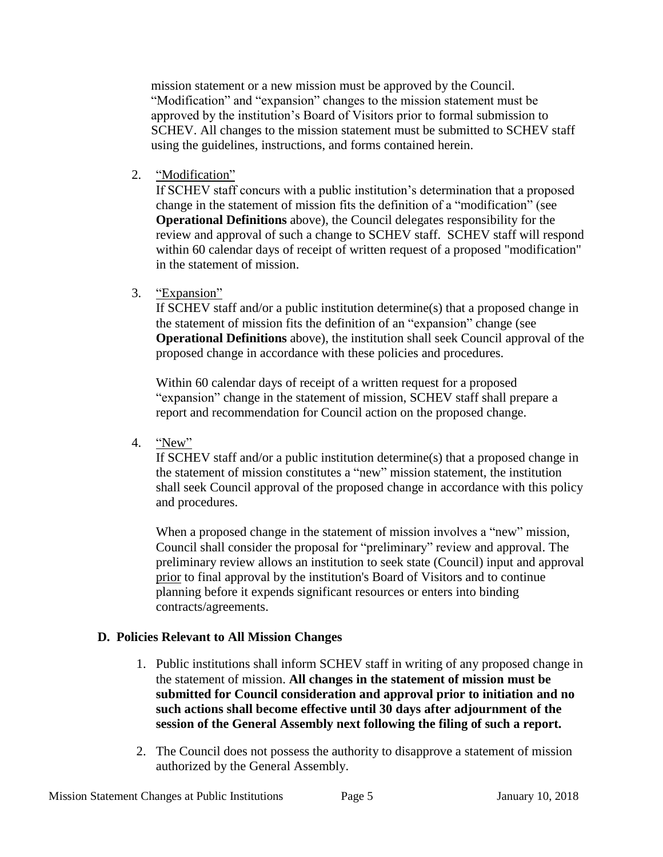mission statement or a new mission must be approved by the Council. "Modification" and "expansion" changes to the mission statement must be approved by the institution's Board of Visitors prior to formal submission to SCHEV. All changes to the mission statement must be submitted to SCHEV staff using the guidelines, instructions, and forms contained herein.

2. "Modification"

If SCHEV staff concurs with a public institution's determination that a proposed change in the statement of mission fits the definition of a "modification" (see **Operational Definitions** above), the Council delegates responsibility for the review and approval of such a change to SCHEV staff. SCHEV staff will respond within 60 calendar days of receipt of written request of a proposed "modification" in the statement of mission.

3. "Expansion"

If SCHEV staff and/or a public institution determine(s) that a proposed change in the statement of mission fits the definition of an "expansion" change (see **Operational Definitions** above), the institution shall seek Council approval of the proposed change in accordance with these policies and procedures.

Within 60 calendar days of receipt of a written request for a proposed "expansion" change in the statement of mission, SCHEV staff shall prepare a report and recommendation for Council action on the proposed change.

4. "New"

If SCHEV staff and/or a public institution determine(s) that a proposed change in the statement of mission constitutes a "new" mission statement, the institution shall seek Council approval of the proposed change in accordance with this policy and procedures.

When a proposed change in the statement of mission involves a "new" mission, Council shall consider the proposal for "preliminary" review and approval. The preliminary review allows an institution to seek state (Council) input and approval prior to final approval by the institution's Board of Visitors and to continue planning before it expends significant resources or enters into binding contracts/agreements.

## **D. Policies Relevant to All Mission Changes**

- 1. Public institutions shall inform SCHEV staff in writing of any proposed change in the statement of mission. **All changes in the statement of mission must be submitted for Council consideration and approval prior to initiation and no such actions shall become effective until 30 days after adjournment of the session of the General Assembly next following the filing of such a report.**
- 2. The Council does not possess the authority to disapprove a statement of mission authorized by the General Assembly.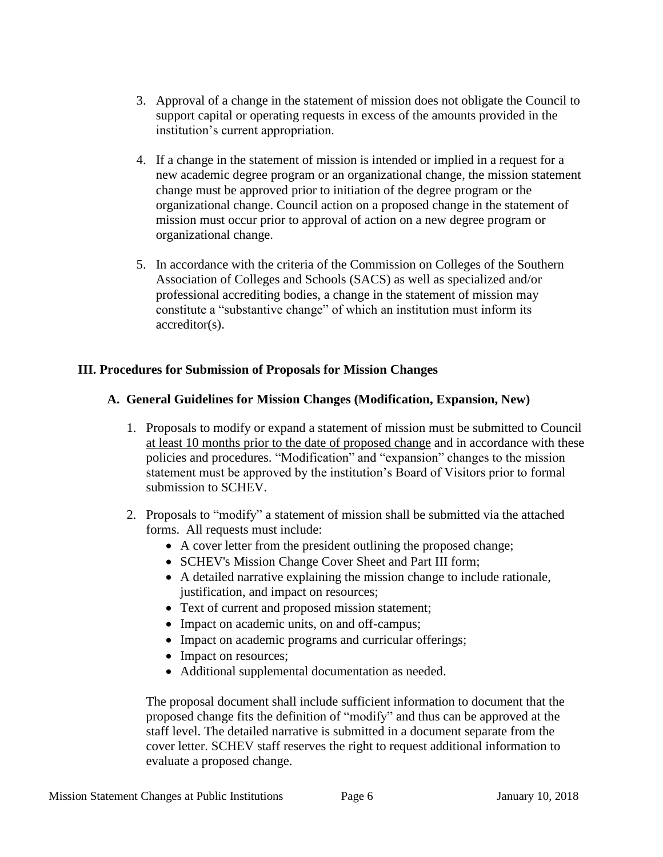- 3. Approval of a change in the statement of mission does not obligate the Council to support capital or operating requests in excess of the amounts provided in the institution's current appropriation.
- 4. If a change in the statement of mission is intended or implied in a request for a new academic degree program or an organizational change, the mission statement change must be approved prior to initiation of the degree program or the organizational change. Council action on a proposed change in the statement of mission must occur prior to approval of action on a new degree program or organizational change.
- 5. In accordance with the criteria of the Commission on Colleges of the Southern Association of Colleges and Schools (SACS) as well as specialized and/or professional accrediting bodies, a change in the statement of mission may constitute a "substantive change" of which an institution must inform its accreditor(s).

## **III. Procedures for Submission of Proposals for Mission Changes**

## **A. General Guidelines for Mission Changes (Modification, Expansion, New)**

- 1. Proposals to modify or expand a statement of mission must be submitted to Council at least 10 months prior to the date of proposed change and in accordance with these policies and procedures. "Modification" and "expansion" changes to the mission statement must be approved by the institution's Board of Visitors prior to formal submission to SCHEV.
- 2. Proposals to "modify" a statement of mission shall be submitted via the attached forms. All requests must include:
	- A cover letter from the president outlining the proposed change;
	- SCHEV's Mission Change Cover Sheet and Part III form;
	- A detailed narrative explaining the mission change to include rationale, justification, and impact on resources;
	- Text of current and proposed mission statement;
	- Impact on academic units, on and off-campus;
	- Impact on academic programs and curricular offerings;
	- Impact on resources;
	- Additional supplemental documentation as needed.

The proposal document shall include sufficient information to document that the proposed change fits the definition of "modify" and thus can be approved at the staff level. The detailed narrative is submitted in a document separate from the cover letter. SCHEV staff reserves the right to request additional information to evaluate a proposed change.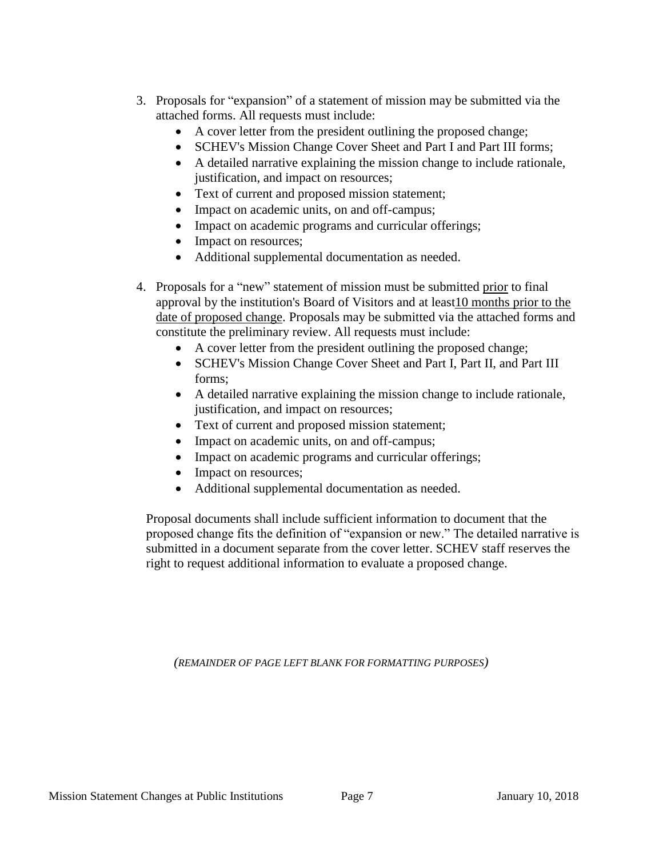- 3. Proposals for "expansion" of a statement of mission may be submitted via the attached forms. All requests must include:
	- A cover letter from the president outlining the proposed change;
	- SCHEV's Mission Change Cover Sheet and Part I and Part III forms;
	- A detailed narrative explaining the mission change to include rationale, justification, and impact on resources;
	- Text of current and proposed mission statement;
	- Impact on academic units, on and off-campus;
	- Impact on academic programs and curricular offerings;
	- Impact on resources;
	- Additional supplemental documentation as needed.
- 4. Proposals for a "new" statement of mission must be submitted prior to final approval by the institution's Board of Visitors and at least10 months prior to the date of proposed change. Proposals may be submitted via the attached forms and constitute the preliminary review. All requests must include:
	- A cover letter from the president outlining the proposed change;
	- SCHEV's Mission Change Cover Sheet and Part I, Part II, and Part III forms;
	- A detailed narrative explaining the mission change to include rationale, justification, and impact on resources;
	- Text of current and proposed mission statement;
	- Impact on academic units, on and off-campus;
	- Impact on academic programs and curricular offerings;
	- Impact on resources;
	- Additional supplemental documentation as needed.

Proposal documents shall include sufficient information to document that the proposed change fits the definition of "expansion or new." The detailed narrative is submitted in a document separate from the cover letter. SCHEV staff reserves the right to request additional information to evaluate a proposed change.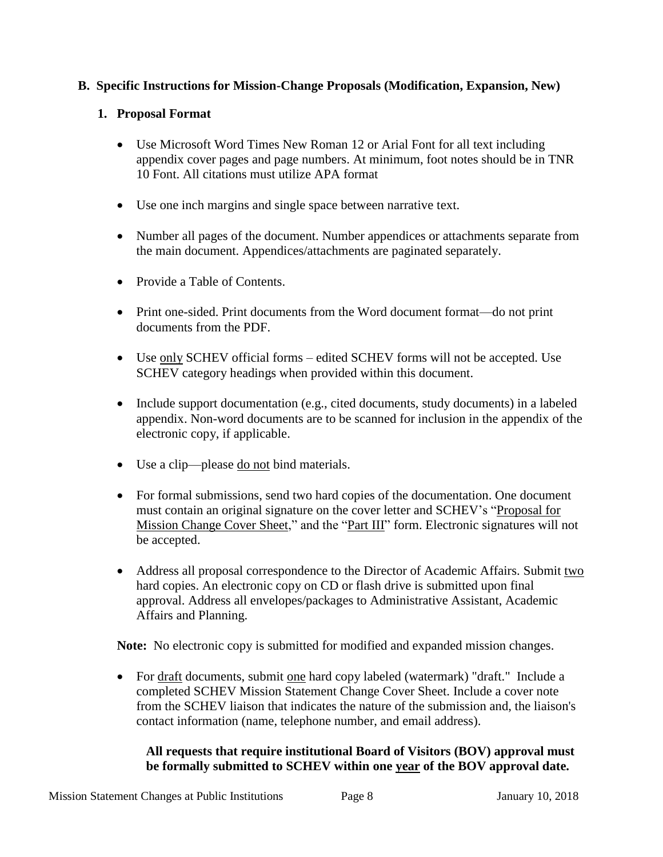## **B. Specific Instructions for Mission-Change Proposals (Modification, Expansion, New)**

## **1. Proposal Format**

- Use Microsoft Word Times New Roman 12 or Arial Font for all text including appendix cover pages and page numbers. At minimum, foot notes should be in TNR 10 Font. All citations must utilize APA format
- Use one inch margins and single space between narrative text.
- Number all pages of the document. Number appendices or attachments separate from the main document. Appendices/attachments are paginated separately.
- Provide a Table of Contents.
- Print one-sided. Print documents from the Word document format—do not print documents from the PDF.
- Use only SCHEV official forms edited SCHEV forms will not be accepted. Use SCHEV category headings when provided within this document.
- Include support documentation (e.g., cited documents, study documents) in a labeled appendix. Non-word documents are to be scanned for inclusion in the appendix of the electronic copy, if applicable.
- Use a clip—please do not bind materials.
- For formal submissions, send two hard copies of the documentation. One document must contain an original signature on the cover letter and SCHEV's "Proposal for Mission Change Cover Sheet," and the "Part III" form. Electronic signatures will not be accepted.
- Address all proposal correspondence to the Director of Academic Affairs. Submit two hard copies. An electronic copy on CD or flash drive is submitted upon final approval. Address all envelopes/packages to Administrative Assistant, Academic Affairs and Planning.

**Note:** No electronic copy is submitted for modified and expanded mission changes.

• For draft documents, submit one hard copy labeled (watermark) "draft." Include a completed SCHEV Mission Statement Change Cover Sheet. Include a cover note from the SCHEV liaison that indicates the nature of the submission and, the liaison's contact information (name, telephone number, and email address).

## **All requests that require institutional Board of Visitors (BOV) approval must be formally submitted to SCHEV within one year of the BOV approval date.**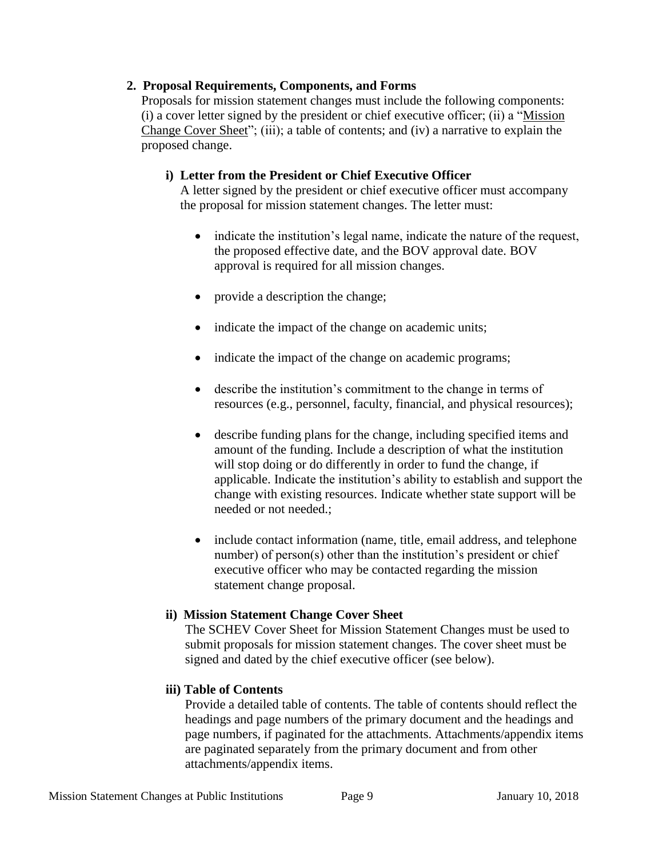#### **2. Proposal Requirements, Components, and Forms**

Proposals for mission statement changes must include the following components: (i) a cover letter signed by the president or chief executive officer; (ii) a "Mission Change Cover Sheet"; (iii); a table of contents; and (iv) a narrative to explain the proposed change.

## **i) Letter from the President or Chief Executive Officer**

A letter signed by the president or chief executive officer must accompany the proposal for mission statement changes. The letter must:

- indicate the institution's legal name, indicate the nature of the request, the proposed effective date, and the BOV approval date. BOV approval is required for all mission changes.
- provide a description the change;
- indicate the impact of the change on academic units;
- indicate the impact of the change on academic programs;
- describe the institution's commitment to the change in terms of resources (e.g., personnel, faculty, financial, and physical resources);
- describe funding plans for the change, including specified items and amount of the funding. Include a description of what the institution will stop doing or do differently in order to fund the change, if applicable. Indicate the institution's ability to establish and support the change with existing resources. Indicate whether state support will be needed or not needed.;
- include contact information (name, title, email address, and telephone number) of person(s) other than the institution's president or chief executive officer who may be contacted regarding the mission statement change proposal.

## **ii) Mission Statement Change Cover Sheet**

The SCHEV Cover Sheet for Mission Statement Changes must be used to submit proposals for mission statement changes. The cover sheet must be signed and dated by the chief executive officer (see below).

## **iii) Table of Contents**

Provide a detailed table of contents. The table of contents should reflect the headings and page numbers of the primary document and the headings and page numbers, if paginated for the attachments. Attachments/appendix items are paginated separately from the primary document and from other attachments/appendix items.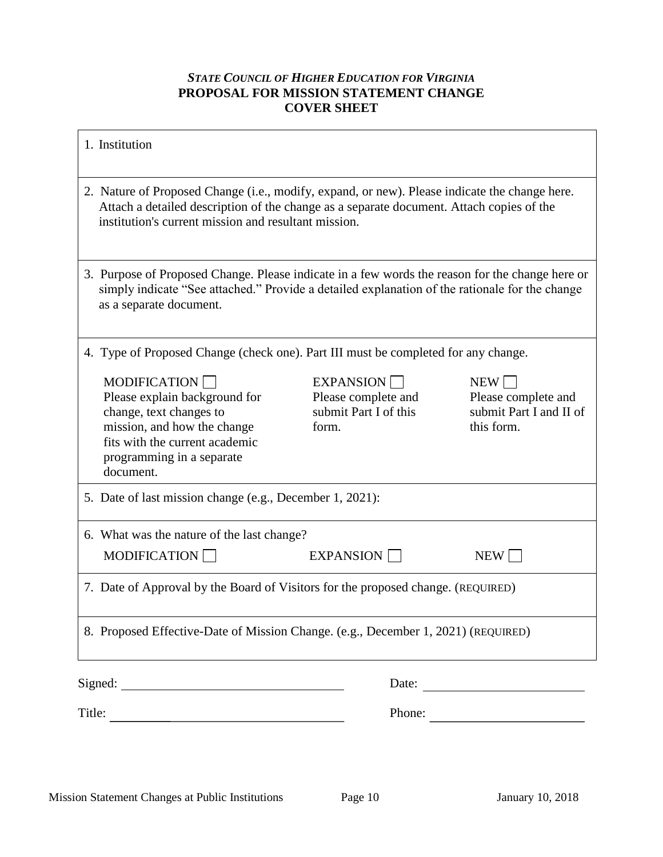## *STATE COUNCIL OF HIGHER EDUCATION FOR VIRGINIA* **PROPOSAL FOR MISSION STATEMENT CHANGE COVER SHEET**

| 1. Institution                                                                                                                                                                                                                                    |                                                                    |                                                                     |
|---------------------------------------------------------------------------------------------------------------------------------------------------------------------------------------------------------------------------------------------------|--------------------------------------------------------------------|---------------------------------------------------------------------|
| 2. Nature of Proposed Change (i.e., modify, expand, or new). Please indicate the change here.<br>Attach a detailed description of the change as a separate document. Attach copies of the<br>institution's current mission and resultant mission. |                                                                    |                                                                     |
| 3. Purpose of Proposed Change. Please indicate in a few words the reason for the change here or<br>simply indicate "See attached." Provide a detailed explanation of the rationale for the change<br>as a separate document.                      |                                                                    |                                                                     |
| 4. Type of Proposed Change (check one). Part III must be completed for any change.                                                                                                                                                                |                                                                    |                                                                     |
| <b>MODIFICATION</b><br>Please explain background for<br>change, text changes to<br>mission, and how the change<br>fits with the current academic<br>programming in a separate<br>document.                                                        | EXPANSION<br>Please complete and<br>submit Part I of this<br>form. | NEW<br>Please complete and<br>submit Part I and II of<br>this form. |
| 5. Date of last mission change (e.g., December 1, 2021):                                                                                                                                                                                          |                                                                    |                                                                     |
| 6. What was the nature of the last change?                                                                                                                                                                                                        |                                                                    |                                                                     |
| MODIFICATION                                                                                                                                                                                                                                      | EXPANSION                                                          | $NEW \vert$                                                         |
| 7. Date of Approval by the Board of Visitors for the proposed change. (REQUIRED)                                                                                                                                                                  |                                                                    |                                                                     |
| 8. Proposed Effective-Date of Mission Change. (e.g., December 1, 2021) (REQUIRED)                                                                                                                                                                 |                                                                    |                                                                     |
|                                                                                                                                                                                                                                                   |                                                                    |                                                                     |
|                                                                                                                                                                                                                                                   |                                                                    | Phone:                                                              |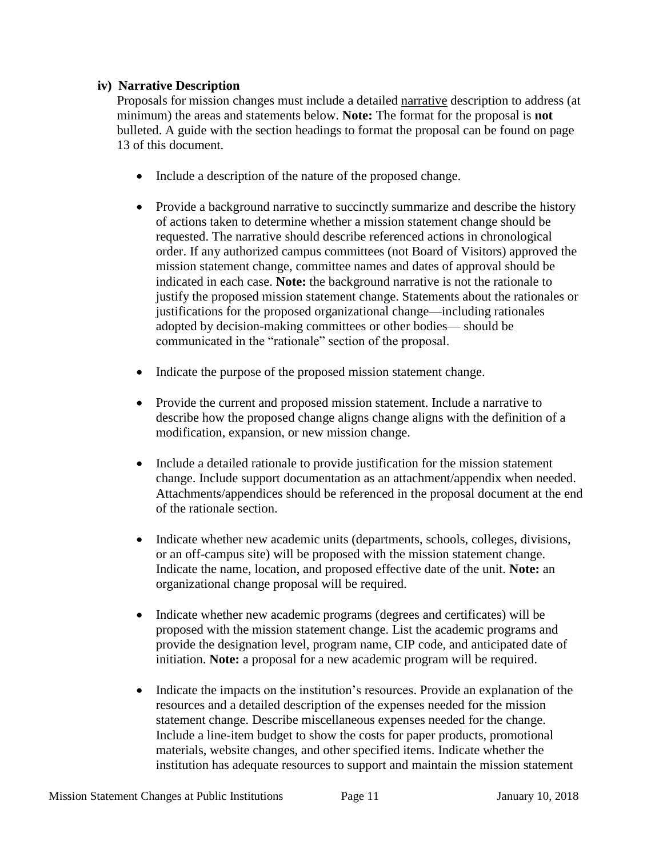#### **iv) Narrative Description**

Proposals for mission changes must include a detailed narrative description to address (at minimum) the areas and statements below. **Note:** The format for the proposal is **not** bulleted. A guide with the section headings to format the proposal can be found on page 13 of this document.

- Include a description of the nature of the proposed change.
- Provide a background narrative to succinctly summarize and describe the history of actions taken to determine whether a mission statement change should be requested. The narrative should describe referenced actions in chronological order. If any authorized campus committees (not Board of Visitors) approved the mission statement change, committee names and dates of approval should be indicated in each case. **Note:** the background narrative is not the rationale to justify the proposed mission statement change. Statements about the rationales or justifications for the proposed organizational change—including rationales adopted by decision-making committees or other bodies— should be communicated in the "rationale" section of the proposal.
- Indicate the purpose of the proposed mission statement change.
- Provide the current and proposed mission statement. Include a narrative to describe how the proposed change aligns change aligns with the definition of a modification, expansion, or new mission change.
- Include a detailed rationale to provide justification for the mission statement change. Include support documentation as an attachment/appendix when needed. Attachments/appendices should be referenced in the proposal document at the end of the rationale section.
- Indicate whether new academic units (departments, schools, colleges, divisions, or an off-campus site) will be proposed with the mission statement change. Indicate the name, location, and proposed effective date of the unit. **Note:** an organizational change proposal will be required.
- Indicate whether new academic programs (degrees and certificates) will be proposed with the mission statement change. List the academic programs and provide the designation level, program name, CIP code, and anticipated date of initiation. **Note:** a proposal for a new academic program will be required.
- Indicate the impacts on the institution's resources. Provide an explanation of the resources and a detailed description of the expenses needed for the mission statement change. Describe miscellaneous expenses needed for the change. Include a line-item budget to show the costs for paper products, promotional materials, website changes, and other specified items. Indicate whether the institution has adequate resources to support and maintain the mission statement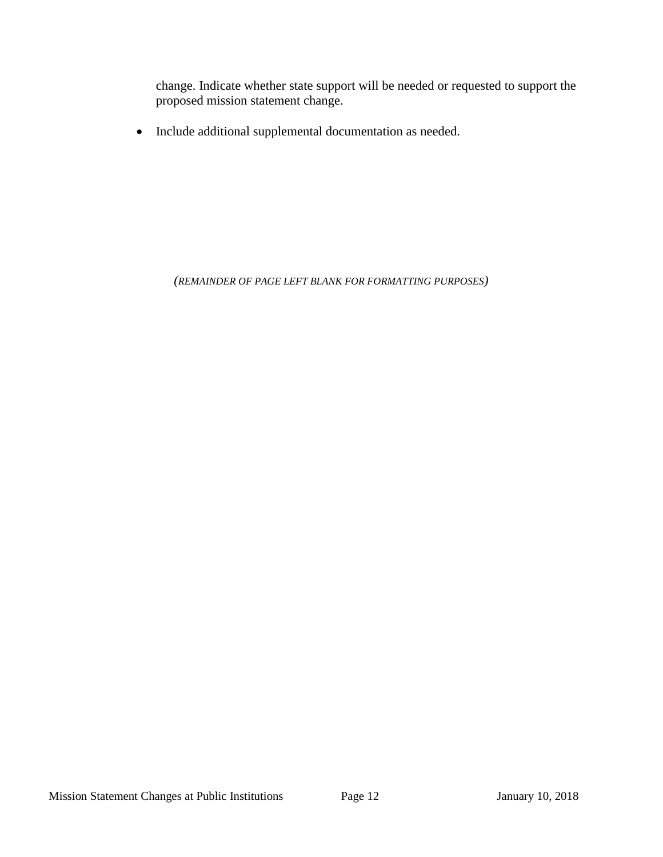change. Indicate whether state support will be needed or requested to support the proposed mission statement change.

Include additional supplemental documentation as needed.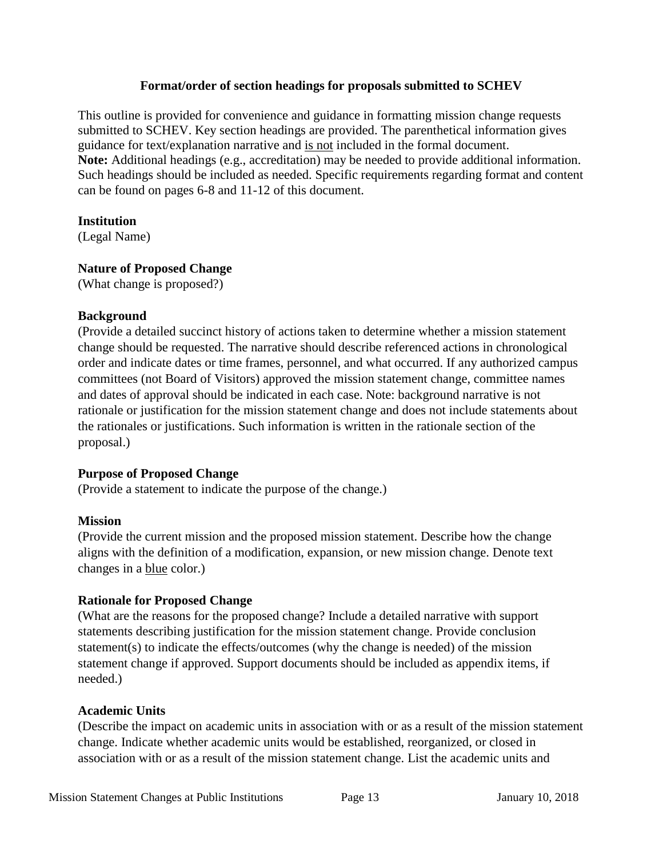#### **Format/order of section headings for proposals submitted to SCHEV**

This outline is provided for convenience and guidance in formatting mission change requests submitted to SCHEV. Key section headings are provided. The parenthetical information gives guidance for text/explanation narrative and is not included in the formal document. **Note:** Additional headings (e.g., accreditation) may be needed to provide additional information. Such headings should be included as needed. Specific requirements regarding format and content can be found on pages 6-8 and 11-12 of this document.

## **Institution**

(Legal Name)

# **Nature of Proposed Change**

(What change is proposed?)

# **Background**

(Provide a detailed succinct history of actions taken to determine whether a mission statement change should be requested. The narrative should describe referenced actions in chronological order and indicate dates or time frames, personnel, and what occurred. If any authorized campus committees (not Board of Visitors) approved the mission statement change, committee names and dates of approval should be indicated in each case. Note: background narrative is not rationale or justification for the mission statement change and does not include statements about the rationales or justifications. Such information is written in the rationale section of the proposal.)

# **Purpose of Proposed Change**

(Provide a statement to indicate the purpose of the change.)

# **Mission**

(Provide the current mission and the proposed mission statement. Describe how the change aligns with the definition of a modification, expansion, or new mission change. Denote text changes in a blue color.)

# **Rationale for Proposed Change**

(What are the reasons for the proposed change? Include a detailed narrative with support statements describing justification for the mission statement change. Provide conclusion statement(s) to indicate the effects/outcomes (why the change is needed) of the mission statement change if approved. Support documents should be included as appendix items, if needed.)

# **Academic Units**

(Describe the impact on academic units in association with or as a result of the mission statement change. Indicate whether academic units would be established, reorganized, or closed in association with or as a result of the mission statement change. List the academic units and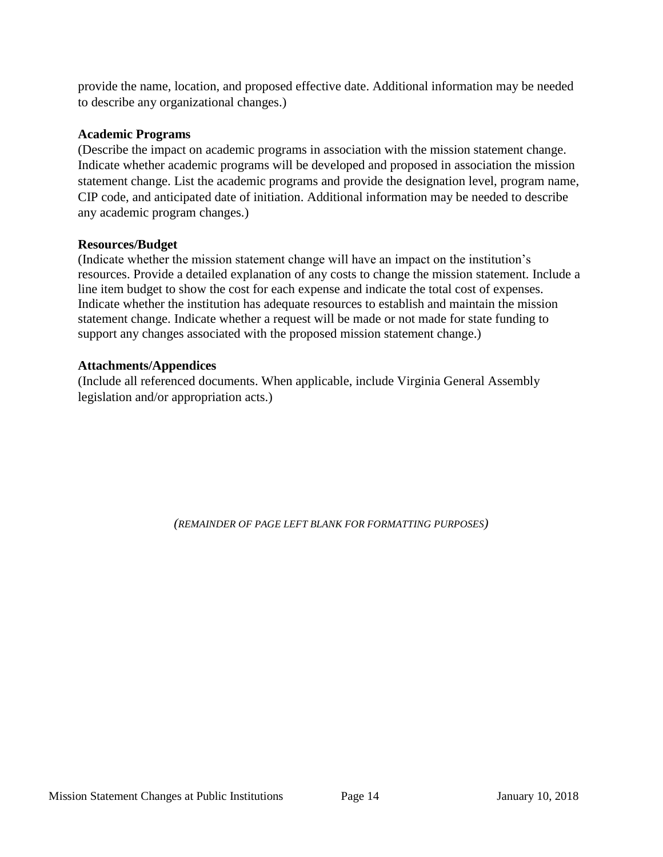provide the name, location, and proposed effective date. Additional information may be needed to describe any organizational changes.)

#### **Academic Programs**

(Describe the impact on academic programs in association with the mission statement change. Indicate whether academic programs will be developed and proposed in association the mission statement change. List the academic programs and provide the designation level, program name, CIP code, and anticipated date of initiation. Additional information may be needed to describe any academic program changes.)

## **Resources/Budget**

(Indicate whether the mission statement change will have an impact on the institution's resources. Provide a detailed explanation of any costs to change the mission statement. Include a line item budget to show the cost for each expense and indicate the total cost of expenses. Indicate whether the institution has adequate resources to establish and maintain the mission statement change. Indicate whether a request will be made or not made for state funding to support any changes associated with the proposed mission statement change.)

## **Attachments/Appendices**

(Include all referenced documents. When applicable, include Virginia General Assembly legislation and/or appropriation acts.)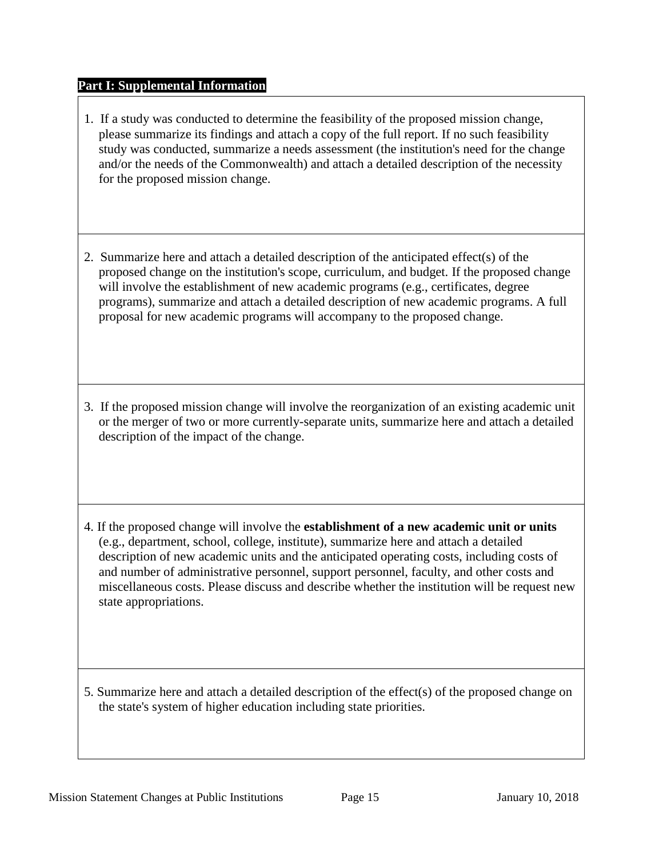## **Part I: Supplemental Information**

- 1. If a study was conducted to determine the feasibility of the proposed mission change, please summarize its findings and attach a copy of the full report. If no such feasibility study was conducted, summarize a needs assessment (the institution's need for the change and/or the needs of the Commonwealth) and attach a detailed description of the necessity for the proposed mission change.
- 2. Summarize here and attach a detailed description of the anticipated effect(s) of the proposed change on the institution's scope, curriculum, and budget. If the proposed change will involve the establishment of new academic programs (e.g., certificates, degree programs), summarize and attach a detailed description of new academic programs. A full proposal for new academic programs will accompany to the proposed change.
- 3. If the proposed mission change will involve the reorganization of an existing academic unit or the merger of two or more currently-separate units, summarize here and attach a detailed description of the impact of the change.
- 4. If the proposed change will involve the **establishment of a new academic unit or units** (e.g., department, school, college, institute), summarize here and attach a detailed description of new academic units and the anticipated operating costs, including costs of and number of administrative personnel, support personnel, faculty, and other costs and miscellaneous costs. Please discuss and describe whether the institution will be request new state appropriations.
- 5. Summarize here and attach a detailed description of the effect(s) of the proposed change on the state's system of higher education including state priorities.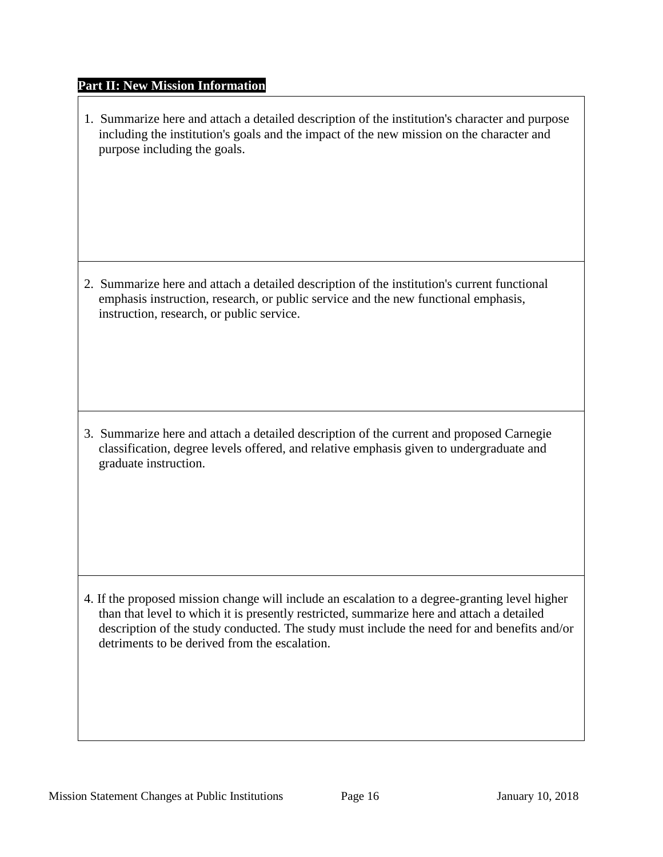#### **Part II: New Mission Information**

1. Summarize here and attach a detailed description of the institution's character and purpose including the institution's goals and the impact of the new mission on the character and purpose including the goals.

2. Summarize here and attach a detailed description of the institution's current functional emphasis instruction, research, or public service and the new functional emphasis, instruction, research, or public service.

3. Summarize here and attach a detailed description of the current and proposed Carnegie classification, degree levels offered, and relative emphasis given to undergraduate and graduate instruction.

4. If the proposed mission change will include an escalation to a degree-granting level higher than that level to which it is presently restricted, summarize here and attach a detailed description of the study conducted. The study must include the need for and benefits and/or detriments to be derived from the escalation.